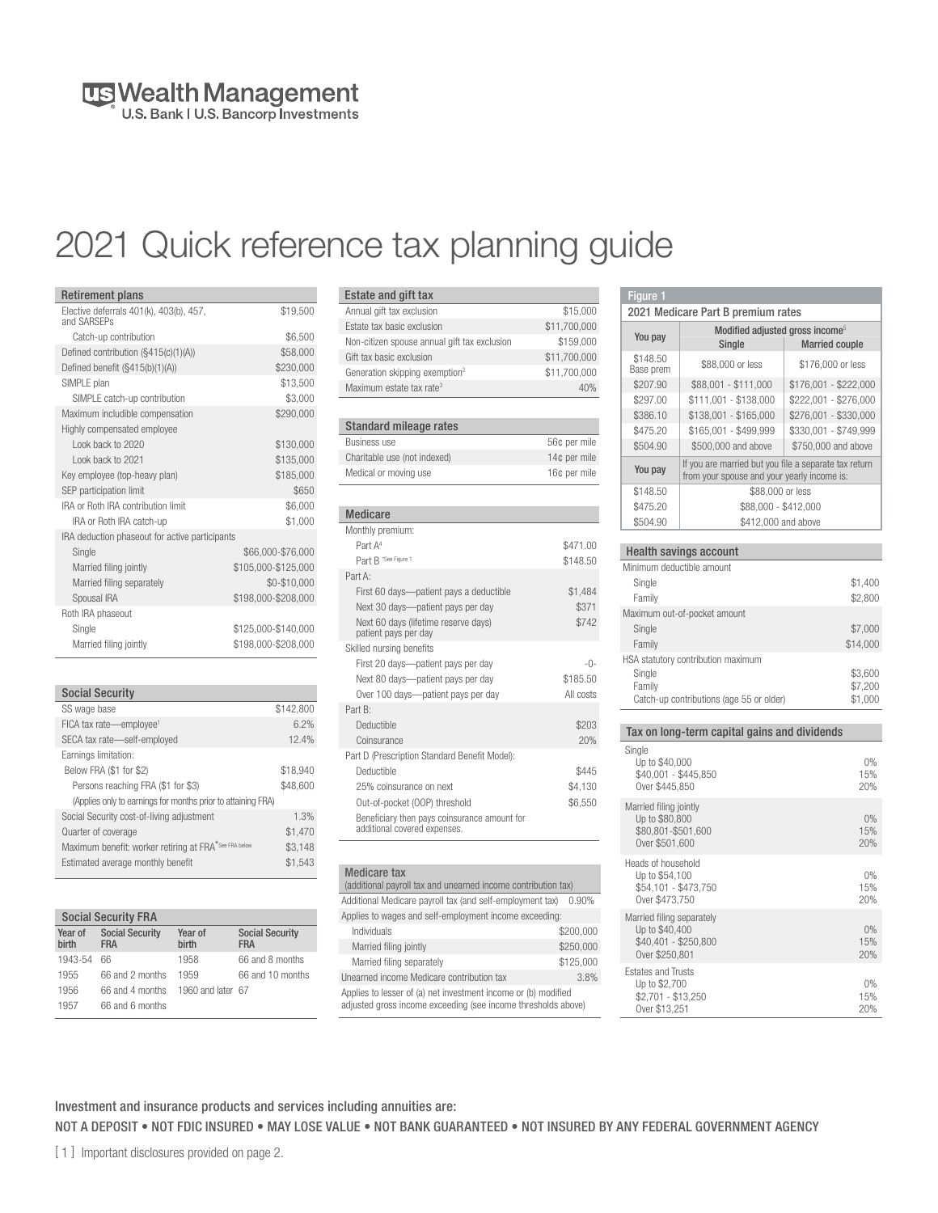# US Wealth Management

## 2021 Quick reference tax planning guide

| <b>Retirement plans</b>                                |                     |
|--------------------------------------------------------|---------------------|
| Elective deferrals 401(k), 403(b), 457,<br>and SARSFPs | \$19,500            |
| Catch-up contribution                                  | \$6.500             |
| Defined contribution (§415(c)(1)(A))                   | \$58,000            |
| Defined benefit (§415(b)(1)(A))                        | \$230,000           |
| SIMPLE plan                                            | \$13,500            |
| SIMPLE catch-up contribution                           | \$3,000             |
| Maximum includible compensation                        | \$290.000           |
| Highly compensated employee                            |                     |
| I ook back to 2020                                     | \$130,000           |
| I ook back to 2021                                     | \$135,000           |
| Key employee (top-heavy plan)                          | \$185.000           |
| SEP participation limit                                | \$650               |
| IRA or Roth IRA contribution limit                     | \$6,000             |
| IRA or Roth IRA catch-up                               | \$1,000             |
| IRA deduction phaseout for active participants         |                     |
| Single                                                 | \$66,000-\$76,000   |
| Married filing jointly                                 | \$105,000-\$125,000 |
| Married filing separately                              | \$0-\$10,000        |
| Spousal IRA                                            | \$198,000-\$208,000 |
| Roth IRA phaseout                                      |                     |
| Single                                                 | \$125,000-\$140,000 |
| Married filing jointly                                 | \$198.000-\$208.000 |

| <b>Social Security</b> |
|------------------------|
|------------------------|

| SS wage base                                                      | \$142,800 |
|-------------------------------------------------------------------|-----------|
| FICA tax rate-employee <sup>1</sup>                               | 6.2%      |
| SECA tax rate-self-employed                                       | 12.4%     |
| Earnings limitation:                                              |           |
| Below FRA (\$1 for \$2)                                           | \$18,940  |
| Persons reaching FRA (\$1 for \$3)                                | \$48,600  |
| (Applies only to earnings for months prior to attaining FRA)      |           |
| Social Security cost-of-living adjustment                         | 1.3%      |
| Quarter of coverage                                               | \$1,470   |
| Maximum benefit: worker retiring at FRA <sup>*See FRA below</sup> | \$3,148   |
| Estimated average monthly benefit                                 | \$1,543   |
|                                                                   |           |

|                  | <b>Social Security FRA</b>           |                   |                                      |
|------------------|--------------------------------------|-------------------|--------------------------------------|
| Year of<br>hirth | <b>Social Security</b><br><b>FRA</b> | Year of<br>hirth  | <b>Social Security</b><br><b>FRA</b> |
| 1943-54          | 66                                   | 1958              | 66 and 8 months                      |
| 1955             | 66 and 2 months                      | 1959              | 66 and 10 months                     |
| 1956             | 66 and 4 months                      | 1960 and later 67 |                                      |
| 1957             | 66 and 6 months                      |                   |                                      |

| Estate and gift tax                          |              |
|----------------------------------------------|--------------|
| Annual gift tax exclusion                    | \$15,000     |
| Estate tax basic exclusion                   | \$11,700,000 |
| Non-citizen spouse annual gift tax exclusion | \$159,000    |
| Gift tax basic exclusion                     | \$11,700,000 |
| Generation skipping exemption <sup>2</sup>   | \$11,700,000 |
| Maximum estate tax rate <sup>3</sup>         | 40%          |

| Standard mileage rates       |              |
|------------------------------|--------------|
| <b>Business use</b>          | 56¢ per mile |
| Charitable use (not indexed) | 14¢ per mile |
| Medical or moving use        | 16¢ per mile |

| <b>Medicare</b>                                                              |           |
|------------------------------------------------------------------------------|-----------|
| Monthly premium:                                                             |           |
| Part A <sup>4</sup>                                                          | \$471.00  |
| Part B "See Figure 1                                                         | \$148.50  |
| Part A <sup>.</sup>                                                          |           |
| First 60 days—patient pays a deductible                                      | \$1,484   |
| Next 30 days—patient pays per day                                            | \$371     |
| Next 60 days (lifetime reserve days)<br>patient pays per day                 | \$742     |
| Skilled nursing benefits                                                     |           |
| First 20 days-patient pays per day                                           | $-()$ -   |
| Next 80 days—patient pays per day                                            | \$185.50  |
| Over 100 days-patient pays per day                                           | All costs |
| Part B <sup>®</sup>                                                          |           |
| Deductible                                                                   | \$203     |
| Coinsurance                                                                  | 20%       |
| Part D (Prescription Standard Benefit Model):                                |           |
| Deductible                                                                   | \$445     |
| 25% coinsurance on next                                                      | \$4,130   |
| Out-of-pocket (OOP) threshold                                                | \$6,550   |
| Beneficiary then pays coinsurance amount for<br>additional covered expenses. |           |

| <b>Medicare tax</b><br>(additional payroll tax and unearned income contribution tax)                                            |           |
|---------------------------------------------------------------------------------------------------------------------------------|-----------|
| Additional Medicare payroll tax (and self-employment tax)                                                                       | $0.90\%$  |
| Applies to wages and self-employment income exceeding:                                                                          |           |
| Individuals                                                                                                                     | \$200,000 |
| Married filing jointly                                                                                                          | \$250,000 |
| Married filing separately                                                                                                       | \$125.000 |
| Unearned income Medicare contribution tax                                                                                       | 3.8%      |
| Applies to lesser of (a) net investment income or (b) modified<br>adjusted gross income exceeding (see income thresholds above) |           |

| 4 ILIUUTTU MUUULUU UUTTU KA KA                        | 0.070 |
|-------------------------------------------------------|-------|
| o lesser of (a) net investment income or (b) modified |       |
| gross income exceeding (see income thresholds above)  |       |

| Figure 1                                    |                                                                                                      |                       |
|---------------------------------------------|------------------------------------------------------------------------------------------------------|-----------------------|
| 2021 Medicare Part B premium rates          |                                                                                                      |                       |
| Modified adjusted gross income <sup>5</sup> |                                                                                                      |                       |
| You pay                                     | Single                                                                                               | <b>Married couple</b> |
| \$148.50<br>Base prem                       | \$88,000 or less                                                                                     | \$176,000 or less     |
| \$207.90                                    | \$88,001 - \$111,000                                                                                 | \$176,001 - \$222,000 |
| \$297.00                                    | \$111,001 - \$138,000                                                                                | \$222,001 - \$276,000 |
| \$386.10                                    | \$138,001 - \$165,000                                                                                | \$276,001 - \$330,000 |
| \$475.20                                    | \$165,001 - \$499,999                                                                                | \$330,001 - \$749,999 |
| \$504.90                                    | \$500,000 and above                                                                                  | \$750,000 and above   |
| You pay                                     | If you are married but you file a separate tax return<br>from your spouse and your yearly income is: |                       |
| \$148.50                                    | \$88,000 or less                                                                                     |                       |
| \$475.20                                    | \$88,000 - \$412,000                                                                                 |                       |
| \$504.90                                    | \$412,000 and above                                                                                  |                       |
|                                             |                                                                                                      |                       |
|                                             | <b>Health savings account</b>                                                                        |                       |
| Minimum deductible amount                   |                                                                                                      |                       |
| Single                                      |                                                                                                      | \$1,400               |
| Family                                      |                                                                                                      | \$2,800               |

| Single<br>Family                         | \$1,400<br>\$2,800 |
|------------------------------------------|--------------------|
| Maximum out-of-pocket amount             |                    |
| Single                                   | \$7,000            |
| Family                                   | \$14,000           |
| HSA statutory contribution maximum       |                    |
| Single                                   | \$3,600            |
| Family                                   | \$7,200            |
| Catch-up contributions (age 55 or older) | \$1,000            |

| Tax on long-term capital gains and dividends                                          |                     |
|---------------------------------------------------------------------------------------|---------------------|
| Single<br>Up to \$40,000<br>\$40,001 - \$445,850<br>Over \$445.850                    | $0\%$<br>15%<br>20% |
| Married filing jointly<br>Up to \$80,800<br>\$80.801-\$501.600<br>Over \$501.600      | 0%<br>15%<br>20%    |
| Heads of household<br>Up to \$54,100<br>\$54,101 - \$473,750<br>Over \$473.750        | 0%<br>15%<br>20%    |
| Married filing separately<br>Up to \$40,400<br>\$40,401 - \$250,800<br>Over \$250,801 | 0%<br>15%<br>20%    |
| <b>Estates and Trusts</b><br>Up to \$2,700<br>\$2,701 - \$13,250<br>Over \$13,251     | 0%<br>15%<br>20%    |

#### Investment and insurance products and services including annuities are: NOT A DEPOSIT • NOT FDIC INSURED • MAY LOSE VALUE • NOT BANK GUARANTEED • NOT INSURED BY ANY FEDERAL GOVERNMENT AGENCY